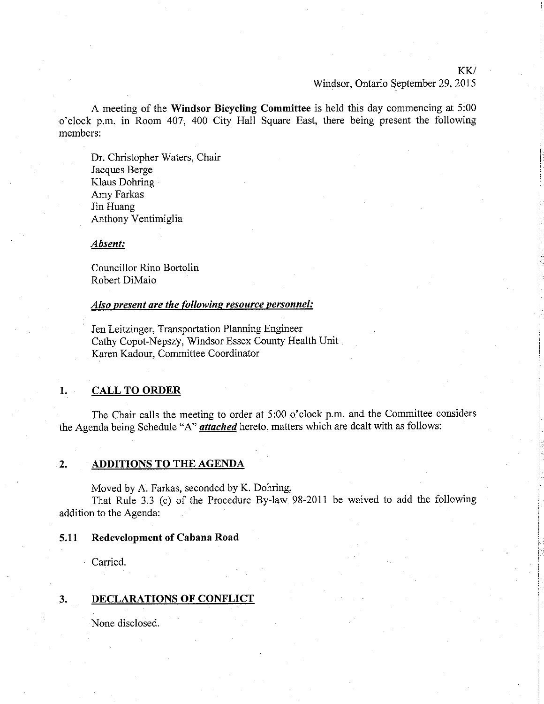#### KK/

#### Windsor, Ontario September 29, 2015

A meeting of the Windsor Bicycling Committee is held this day commencing at 5:00 o'clock p.m. in Room 40'7, 400 City Hall Square East, there being present the following members:

Dr. Christopher Waters, Chair Jacques Berge Klaus Dohring Amy Farkas Jin Huang Anthony Ventimiglia

#### Absent:

Councillor Rino Bortolin Robert DiMaio

#### Also present are the following resource personnel:

' Jen Leitzinger, Transportation Planning Engineer Cathy Copot-Nepszy, Windsor Essex County Health Unit Karen Kadour, Committee Coordinator

# 1. CALL TO ORDER

The Chair calls the meeting to order at 5:00 o'clock p.m. and the Committee considers the Agenda being Schedule "A" *attached* hereto, matters which are dealt with as follows:

# 2. ADDITIONS TO THE AGENDA

Moved by A. Farkas, seconded by K. Dohring,

That Rule 3.3 (c) of the Procedure By-law 98-2011 be waived to add the following addition to the Agenda:

# 5.11 Redevelopment of Cabana Road

Carried.

## 3. DECLARATIONS OF CONFLICT

None disclosed.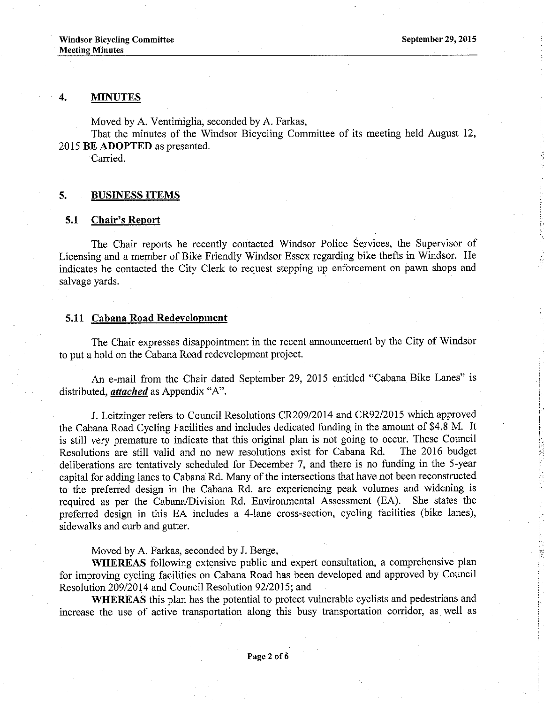#### 4. MINUTES

Moved by A. Ventimiglia, seconded by A. Farkas,

That the minutes of the Windsor Bicycling Committee of its meeting held August 12, 2015 BE ADOPTED as presented.

Carried.

#### 5. BUSINESS ITEMS

### 5.1 Chair's Report

The Chair reports he recently contacted Windsor Police Services, the Supervisor of Licensing and a member of Bike Friendly Windsor Essex regarding bike thefts in Windsor. He indicates he contacted the City Clerk to request stepping up enforcement on pawn shops and salvage yards.

# 5.11 Cabana Road Redevelopment

The Chair expresses disappointment in the recent announcement by the City of Windsor to put a hold on the Cabana Road redevelopment project.

An e-mail from the Chair dated September 29, 2015 entitled "Cabana Bike Lanes" is distributed, *attached* as Appendix "A".

J. Leitzinger refers to Council Resolutions CR209/2014 and CR92/2015 which approved the Cabana Road Cycling Facilities and includes dedicated funding in the amount of \$4.8 M. It is still very premature to indicate that this original plan is not going to occur. These Council<br>Resolutions are still valid and no new resolutions exist for Cabana Rd. The 2016 budget Resolutions are still valid and no new resolutions exist for Cabana Rd. deliberations are tentatively scheduled for December 7, and there is no funding in the 5-year capital for adding lanes to Cabana Rd. Many of the intersections that have not been reconstructed to the preferred design in the Cabana Rd. are experiencing peak volumes and widening is required as per the Cabana/Division Rd. Environmental Assessment (EA). She states the required as per the Cabana/Division Rd. Environmental Assessment (EA). preferred design in this EA includes a 4-lane cross-section, cycling facilities (bike lanes), sidewalks and curb and gutter.

Moved by A. Farkas, seconded by J. Berge,

WHEREAS following extensive public and expert consultation, a comprehensive plan for improving cycling facilities on Cabana Road has been developed and approved by Council Resolution 209/2014 and Council Resolution 92/2015; and

WHEREAS this plan has the potential to protect vulnerable cyclists and pedestrians and increase the use of active transportation along this busy transportation corridor, as well as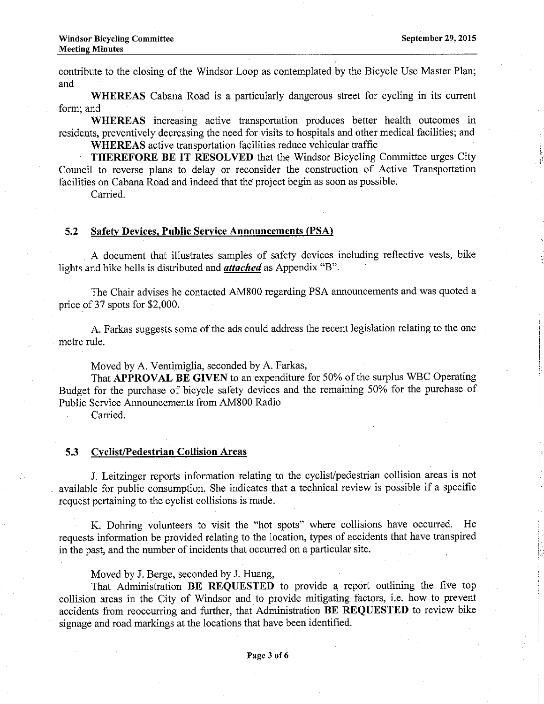contribute to the closing of the Windsor Loop as contemplated by the Bicycle Use Master Plan; and

WHEREAS Cabana Road is a particularly dangerous street for cycling in its current form; and

WHEREAS increasing active transportation produces better health outcomes in residents, preventively decreasing the need for visits to hospitals and other medical facilities; and WHEREAS active transportation facilities reduce vehicular traffic

THEREFORE BE IT RESOLVED that the Windsor Bicycling Committee urges City

Council to reverse plans to delay or reconsider the construction of Active Transportation facilities on Cabana Road and indeed that the project begin as soon as possible.

Carried.

# 5,2 Safetv Devices. Public Service Announcements (PSA)

A document that illustrates samples of safety devices including reflective vests, bike lights and bike bells is distributed and *attached* as Appendix "B".

The Chair advises he contacted AM800 regarding PSA announcements and was quoted a price of 37 spots for \$2,000.

A. Farkas suggests some of the ads could address the recent legislation relating to the one metre rule.

Moved by A. Ventimiglia, seconded by A. Farkas,

That APPROVAL BE GIVEN to an expenditure for 50% of the surplus WBC Operating Budget for the purchase of bicycle safety devices and the remaining 50% for the purchase of Public Service Announcements from 4M800 Radio

Carried.

# 5.3 Cyclist/Pedestrian Collision Areas

J. Leitzinger reports information relating to the cyclist/pedestrian collision areas is not available for public consumption. She indicates that a technical review is possible if a specific request pertaining to the cyclist collisions is made.

K. Dohring volunteers to visit the "hot spots" where coliisions have occurred. He requests information be provided relating to the location, types of accidents that have transpired in the past, and the number of ineidents that occurred on a particular site.

Moved by J. Berge, seconded by J. Huang,

That Administration BE REQUESTED to provide a report outlining the five top collision areas in the City of Windsor and to provide mitigating factors, i.e. how to prevent accidents from reoccurring and further, that Administration BE REQUESTED to review bike signage and road markings at the locations that have been identified.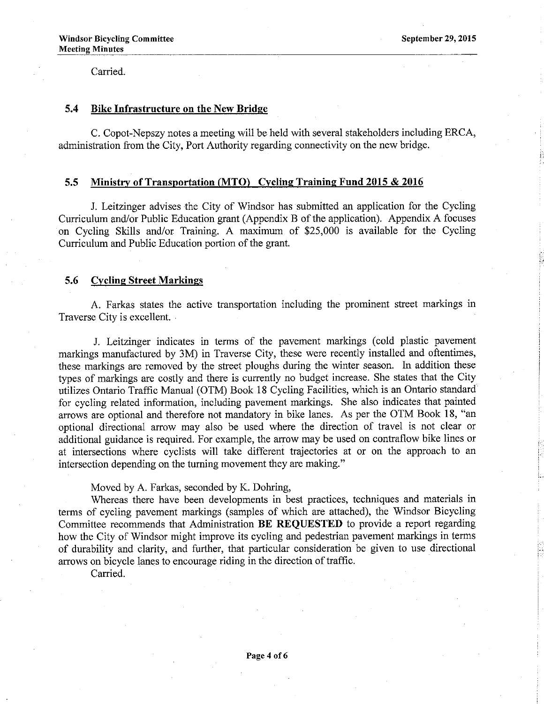Carried.

## 5.4 Bike Infrastructure on the New Bridge

C. Copot-Nepszy notes a meeting will be held with several stakeholders including ERCA, administration from the City, Port Authority regarding connectivity on the new bridge.

## 5.5 Ministry of Transportation (MTO) Cycling Training Fund 2015 & 2016

J. Leitzinger advises the City of Windsor has submitted an application for the Cycling Curriculum and/or Public Education grant (Appendix B of the application). Appendix A focuses on Cycling Skills and/or Training. A maximum of \$25,000 is available for the Cycling Curriculum and Public Education portion of the grant.

# 5.6 Cycling Street Markings

A. Farkas states the active transportation including the prominent street markings in Traverse City is excellent.

J. Leitzinger indicates in terms of the pavement markings (cold plastic pavement markings manufactured by 3M) in Traverse City, these were recently installed and oftentimes, these markings are removed by the street ploughs during the winter season. In addition these types of markings are costly and there is currently no budget increase. She states that the City utilizes Ontario Traffic Manual (OTM) Book 18 Cycling Facilities, which is an Ontario standard for cycling related information, including pavement markings. She also indicates that painted arrows are optional and therefore not mandatory in bike lanes. As per the OTM Book 18, "an optional directional arrow may also be used where the direction of travel is not clear or additional guidance is required. For example, the arrow may be used on contraflow bike lines or at intersections where cyclists will take different trajectories at or on the approach to an intersection depending on the tuming movement they are making."

# Moved by A. Farkas, seconded by K. Dohring,

Whereas there have been developments in best practices, techniques and materials in terms of cycling pavement markings (samples of which are attached), the Windsor Bicycling Committee recommends that Administration BE REQUESTED to provide a report regarding how the City of Windsor might improve its cycling and pedestrian pavement markings in terms of durability and clarity, and further, that particular consideration be given to use directional arrows on bicycle lanes to encourage riding in the direction of traffic.

Carried.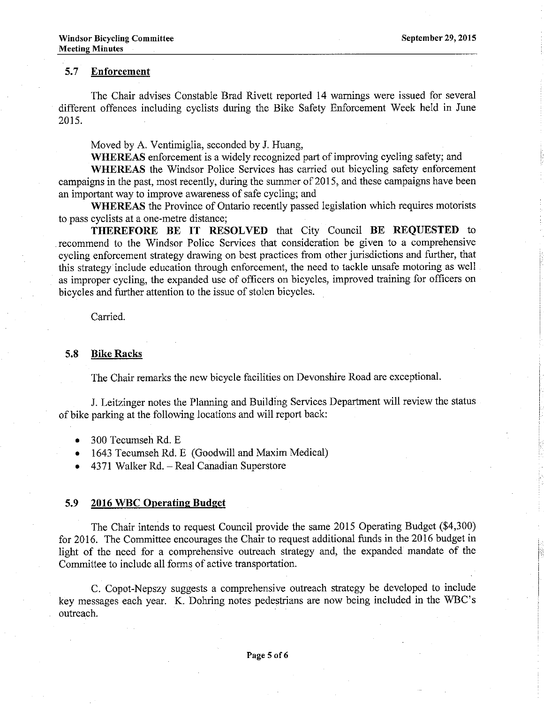# 5.7 Enforcement

The Chair advises Constable Brad Rivett repofied 14 wamings were issued for several different offences including cyclists during the Bike Safety Enforcement Week held in June 2015.

Moved by A. Ventimiglia, seconded by J. Huang,

WHEREAS enforcement is a widely recognized part of improving cycling safety; and

WHEREAS the Windsor Police Services has carried out bicycling safety enforcement campaigns in the past, most recently, during the summer of 2015, and these campaigns have been an important way to improve awareness of safe cycling; and

WHEREAS the Province of Ontario recently passed legislation which requires motorists to pass cyclists at a one-metre distance;

THEREFORE BE IT RESOLVED that City Council BE REQUESTED to recommend to the Windsor Police Services that consideration be given to a comprehensive cycling enforcement strategy drawing on best practices from other jurisdictions and further, that this strategy include education through enforcement, the need to tackle unsafe motoring as well as improper cycling, the expanded use of officers on bicycles, improved training for officers on bicycles and further attention to the issue of stolen bicycles.

Carried.

#### 5.8 Bike Racks

The Chair remarks the new bicycle facilities on Devonshire Road are exceptional.

J. Leitzinger notes the Planning and Building Services Department will review the status of bike parking at the following locations and will report back:

- $\bullet$  300 Tecumseh Rd. E
- . 1643 Tecumseh Rd. E (Goodwill and Maxim Medical)
- o 437I Walker Rd. Real Canadian Superstore

#### 5.9 2016 WBC Operating Budget

The Chair intends to request Council provide the same 2015 Operating Budgef (\$4,300) for 2016. The Committee encourages the Chair to request additional funds in the 2016 budget in light of the need for a comprehensive outreach strategy and, the expanded mandate of the Committee to include all forms of active transportation.

C. Copot-Nepszy suggests a comprehensive outreach strategy be developed to include key messages each year. K. Dohring notes pedestrians are now being included in the 'WBC's outreach.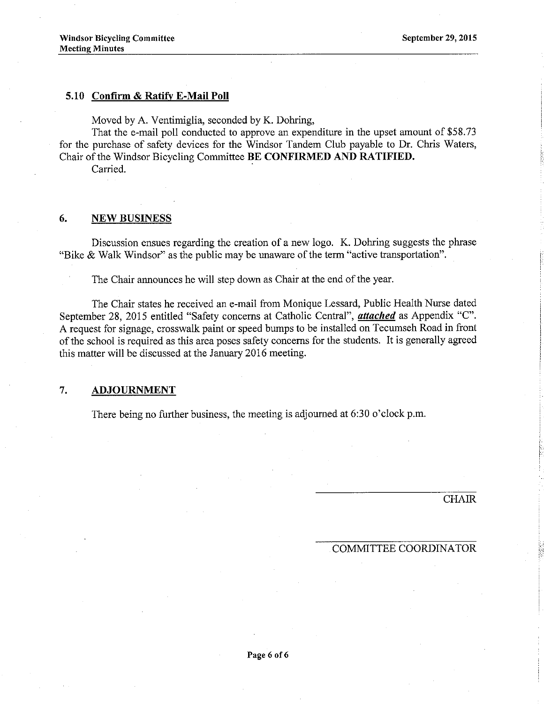# 5.10 Conärm & Ratifv E-Mail Poll

Moved by A. Ventimiglia, seconded by K. Dohring,

That the e-mail poll conducted to approve an expenditure in the upset amount of \$58.73 for the purchase of safety devices for the Windsor Tandem Club payable to Dr. Chris Waters, Chair of the Windsor Bicycling Committee BE CONFIRMED AND RATIFIED.

Carried.

#### 6. NEW BUSINESS

Discussion ensues regarding the creation of a new logo. K. Dohring suggests the phrase "Bike & Walk Windsor" as the public may be unaware of the term "active transportation".

The Chair announces he will step down as Chair at the end of the year.

The Chair states he received an e-mail from Monique Lessard, Public Health Nurse dated September 28, 2015 entitled "Safety concerns at Catholic Central", *attached* as Appendix "C". A request for signage, crosswalk paint or speed bumps to be installed on Tecumseh Road in front of the school is required as this area poses safety concems for the students. It is generally agreed this matter will be discussed at the January 2016 meeting.

# 7. ADJOURNMENT

There being no further business, the meeting is adjourned at  $6:30$  o'clock p.m.

CHAIR

### COMMITTEE COORDINATOR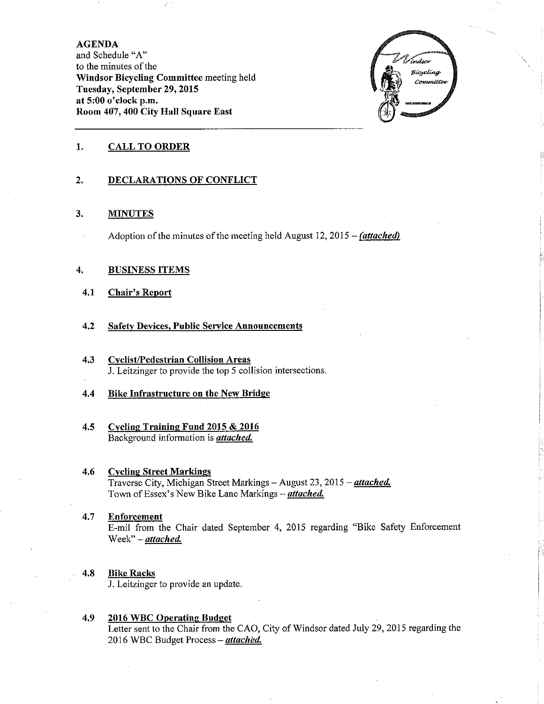#### AGENDA

and Schedule "4" to the minutes of the Windsor Bicycling Committee meeting held Tuesday, September 29, 2015 at 5:00 o'clock p.m. Room 4û7, 400 City Hall Square East



#### 1. CALL TO ORDER

#### 2. DECLARATIONS OF CONFLICT

#### 3. **MINUTES**

Adoption of the minutes of the meeting held August 12, 2015 – *(attached)* 

#### 4. BUSINESS ITEMS

- 4,1 Chair's Report
- 4.2 Safety Devices, Public Service Announcements
- 4,3 Cyclist/Pedestrian Collision Areas J. Leitzinger to provide the top 5 collision intersections.
- 4.4 Bike Infrastructure on the New Bridge
- 4.5 Cyclins Trainine Fund 2015 & 2016 Background information is *attached*.

#### **Cycling Street Markings** 4.6 Traverse City, Michigan Street Markings - August 23, 2015 - attached. Town of Essex's New Bike Lane Markings - *attached*.

Enforcement E-mil from the Chair dated September 4, 2015 regarding "Bike Safety Enforcement Week" - attached. 4.7

### 4.8 Bike Racks

J. Leitzinger to provide an update

4.9 2016 WBC Operatine Budqet Letter sent to the Chair from the CAO, City of Windsor dated July 29, 2015 regarding the 2016 WBC Budget Process - attached.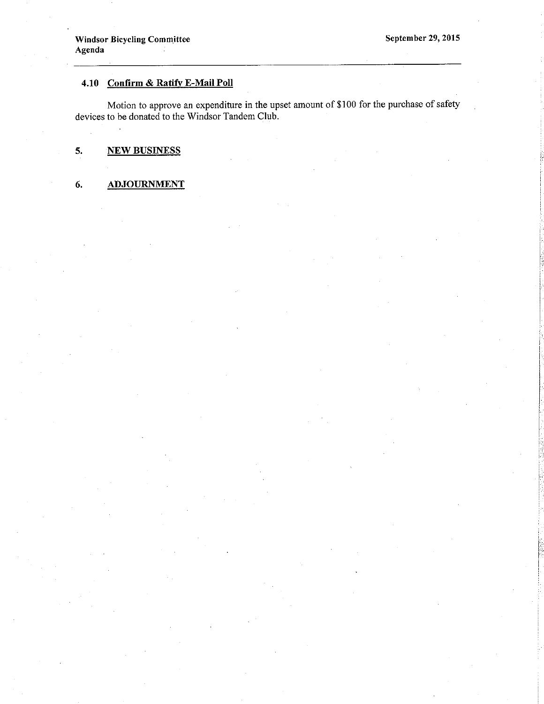# 4.10 Confirm & Ratify E-Mail Poll

Motion to approve an expenditure in the upset amount of \$100 for the purchase of safety devices to be donated to the Windsor Tandem Club.

#### $5.$ **NEW BUSINESS**

#### 6. **ADJOURNMENT**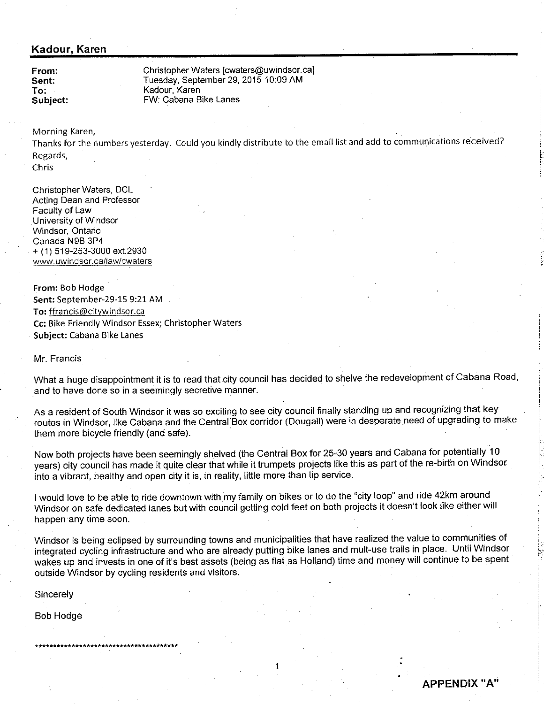# Kadour, Karen

From: Sent: To: Subject: Christopher Waters lcwaters@uwindsor.ca] Tuesday, September 29, 2015 10:09 AM Kadour, Karen FW: Cabana Bike Lanes

Morning Karen,

Thanks for the numbers yesterday. Could you kindly distribute to the email list and add to communications received? Regards,

Chris

Christopher Waters, DCL Acting Dean and Professor Faculty of Law University of Windsor Windsor, Ontario Canada NgB 3P4 + (1) 519-253-3000 ext.2930 www. uwindsor.callaw/cwaters

From: Bob Hodge Sent: September-29-15 9:21 AM To: ffrancis@citywindsor.ca Cc: Bike Friendly Windsor Essex; Chrìstopher Waters Subject: Cabana Bike Lanes

Mr. Francis

What a huge disappointment it is to read that city council has decided to shelve the redevelopment of Cabana Road, and to have done so in a seemingly secretive manner.

As a resident of South Windsor it was so exciting to see city council finally standing up and recognizing that key routes in Windsor, like Cabana and the Central Box corridor (Dougall) were in desperate need of upgrading to make them more bicycle friendly (and safe).

Now both projects have been seemingly shelved (the Central Box for 25.30 years and Cabana for potentially <sup>10</sup> years) city council has made it quite clear that while it trumpets projects like this as part of the re-birth on Windsor into a vibrant, healthy and open city it is, in reality, little more than lip service.

I would love to be able to ride downtown with my family on bikes or to do the "city loop" and ride 42km around Windsor on safe dedicated lanes but with council getting cold feet on both projects it doesn't look like either will happen any time soon.

Windsor is being eclipsed by surrounding towns and municipalities that have realized the value to communities of integrated cycling infiastruciure and who are already putting bike lanes and mult-use trails in place. Until Windsor wakes up and invests in one of it's best assets (being as flat as Holland) time and money will continue to be spent outside Windsor by cycling residents and visitors.

**Sincerely** 

Bob Hodge

**APPENDIX "A"**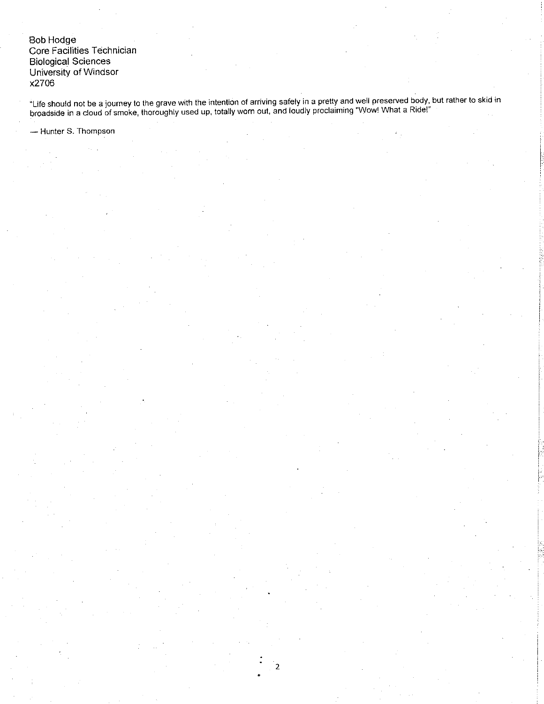Bob Hodge<br>Core Facilities Technician **Biological Sciences** University of Windsor x2706

"Life should not be a journey to the grave with the intention of arriving safely in a pretty and well preserved body, but rather to skid in<br>broadside in a cloud of smoke, thoroughly used up, totally worn out, and loudly pr

 $\overline{2}$ 

- Hunter S. Thompson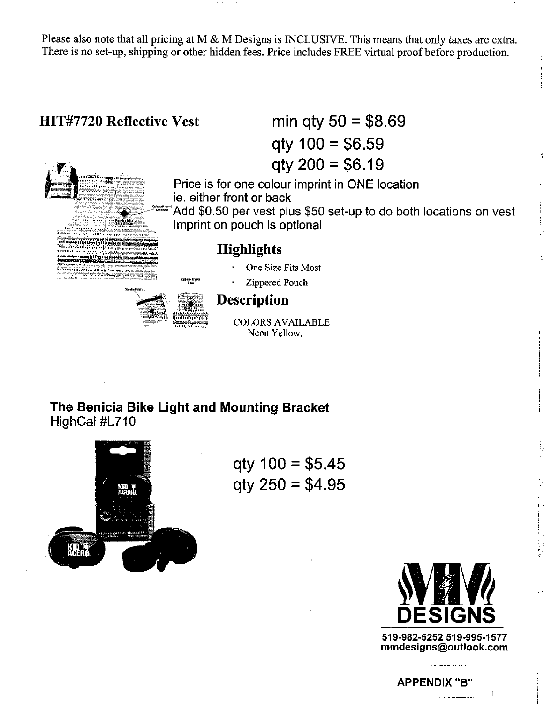Please also note that all pricing at M  $\&$  M Designs is INCLUSIVE. This means that only taxes are extra. There is no set-up, shipping or other hidden fees. Price includes FREE virtual proof before production.

# min qty  $50 = $8.69$ **HIT#7720 Reflective Vest**  $qty 100 = $6.59$  $q$ ty 200 = \$6.19 Price is for one colour imprint in ONE location ie. either front or back Add \$0.50 per vest plus \$50 set-up to do both locations on vest ranging<br>Strallen Imprint on pouch is optional **Highlights** One Size Fits Most Zippered Pouch **Description COLORS AVAILABLE** Neon Yellow.

The Benicia Bike Light and Mounting Bracket HighCal #L710



 $qty 100 = $5.45$  $qty 250 = $4.95$ 



519-982-5252 519-995-1577 mmdesigns@outlook.com

**APPENDIX "B"**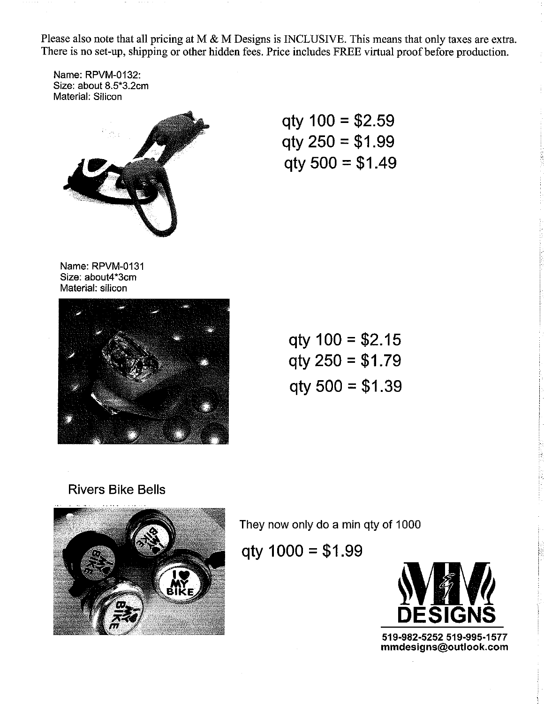Please also note that all pricing at M & M Designs is INCLUSIVE. This means that only taxes are extra. There is no set-up, shipping or other hidden fees. Price includes FREE virtual proof before production.

Name: RPVM-o132: Size: about 8.5\*3.2cm Material: Silicon



qty 100 = \$2.59 qty 250 = \$1.99 qty 500 = \$1.49

Name: RPVM-o131 Size: about4\*3cm Material: silicon



| $qty 100 = $2.15$   |  |  |
|---------------------|--|--|
| $q$ ty 250 = \$1.79 |  |  |
| $qty 500 = $1.39$   |  |  |

# Rivers Bike Bells



They now only do a min qty of 1000

qty  $1000 = $1.99$ 



519-982-5252 519-995-1577 mmdesigns@outlook.com